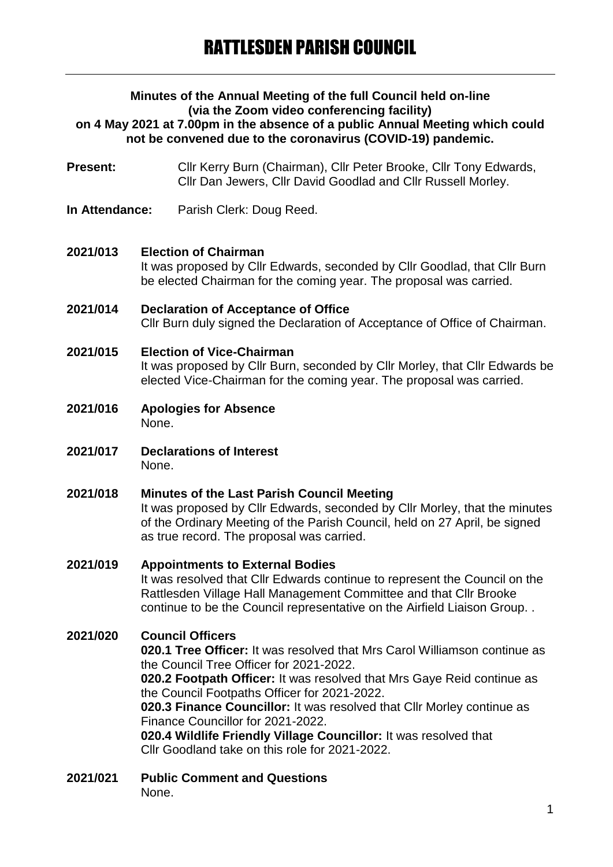#### **Minutes of the Annual Meeting of the full Council held on-line (via the Zoom video conferencing facility) on 4 May 2021 at 7.00pm in the absence of a public Annual Meeting which could not be convened due to the coronavirus (COVID-19) pandemic.**

**Present:** Cllr Kerry Burn (Chairman), Cllr Peter Brooke, Cllr Tony Edwards, Cllr Dan Jewers, Cllr David Goodlad and Cllr Russell Morley.

**In Attendance:** Parish Clerk: Doug Reed.

### **2021/013 Election of Chairman** It was proposed by Cllr Edwards, seconded by Cllr Goodlad, that Cllr Burn be elected Chairman for the coming year. The proposal was carried.

- **2021/014 Declaration of Acceptance of Office** Cllr Burn duly signed the Declaration of Acceptance of Office of Chairman.
- **2021/015 Election of Vice-Chairman**

It was proposed by Cllr Burn, seconded by Cllr Morley, that Cllr Edwards be elected Vice-Chairman for the coming year. The proposal was carried.

- **2021/016 Apologies for Absence** None.
- **2021/017 Declarations of Interest** None.

#### **2021/018 Minutes of the Last Parish Council Meeting** It was proposed by Cllr Edwards, seconded by Cllr Morley, that the minutes of the Ordinary Meeting of the Parish Council, held on 27 April, be signed as true record. The proposal was carried.

## **2021/019 Appointments to External Bodies**

It was resolved that Cllr Edwards continue to represent the Council on the Rattlesden Village Hall Management Committee and that Cllr Brooke continue to be the Council representative on the Airfield Liaison Group. .

## **2021/020 Council Officers**

**020.1 Tree Officer:** It was resolved that Mrs Carol Williamson continue as the Council Tree Officer for 2021-2022.

**020.2 Footpath Officer:** It was resolved that Mrs Gaye Reid continue as the Council Footpaths Officer for 2021-2022.

**020.3 Finance Councillor:** It was resolved that Cllr Morley continue as Finance Councillor for 2021-2022.

**020.4 Wildlife Friendly Village Councillor:** It was resolved that Cllr Goodland take on this role for 2021-2022.

# **2021/021 Public Comment and Questions**

None.